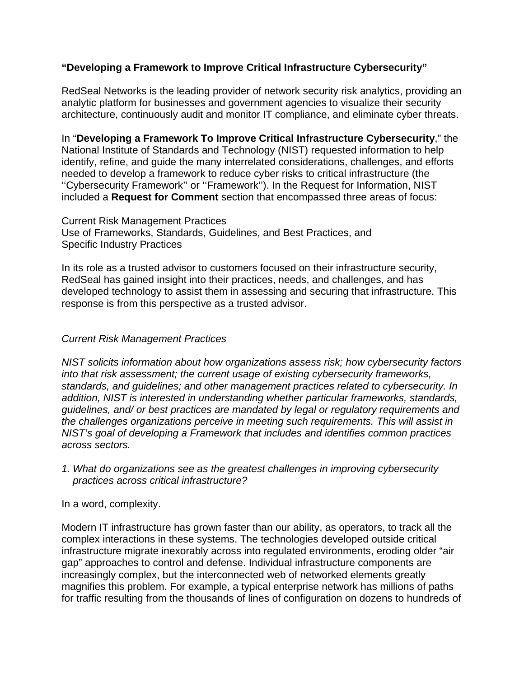# **"Developing a Framework to Improve Critical Infrastructure Cybersecurity"**

RedSeal Networks is the leading provider of network security risk analytics, providing an analytic platform for businesses and government agencies to visualize their security architecture, continuously audit and monitor IT compliance, and eliminate cyber threats.

In "**Developing a Framework To Improve Critical Infrastructure Cybersecurity**," the National Institute of Standards and Technology (NIST) requested information to help identify, refine, and guide the many interrelated considerations, challenges, and efforts needed to develop a framework to reduce cyber risks to critical infrastructure (the ''Cybersecurity Framework'' or ''Framework''). In the Request for Information, NIST included a **Request for Comment** section that encompassed three areas of focus:

Current Risk Management Practices Use of Frameworks, Standards, Guidelines, and Best Practices, and Specific Industry Practices

In its role as a trusted advisor to customers focused on their infrastructure security, RedSeal has gained insight into their practices, needs, and challenges, and has developed technology to assist them in assessing and securing that infrastructure. This response is from this perspective as a trusted advisor.

#### *Current Risk Management Practices*

*NIST solicits information about how organizations assess risk; how cybersecurity factors into that risk assessment; the current usage of existing cybersecurity frameworks, standards, and guidelines; and other management practices related to cybersecurity. In addition, NIST is interested in understanding whether particular frameworks, standards, guidelines, and/ or best practices are mandated by legal or regulatory requirements and the challenges organizations perceive in meeting such requirements. This will assist in NIST's goal of developing a Framework that includes and identifies common practices across sectors.*

*1. What do organizations see as the greatest challenges in improving cybersecurity practices across critical infrastructure?*

In a word, complexity.

Modern IT infrastructure has grown faster than our ability, as operators, to track all the complex interactions in these systems. The technologies developed outside critical infrastructure migrate inexorably across into regulated environments, eroding older "air gap" approaches to control and defense. Individual infrastructure components are increasingly complex, but the interconnected web of networked elements greatly magnifies this problem. For example, a typical enterprise network has millions of paths for traffic resulting from the thousands of lines of configuration on dozens to hundreds of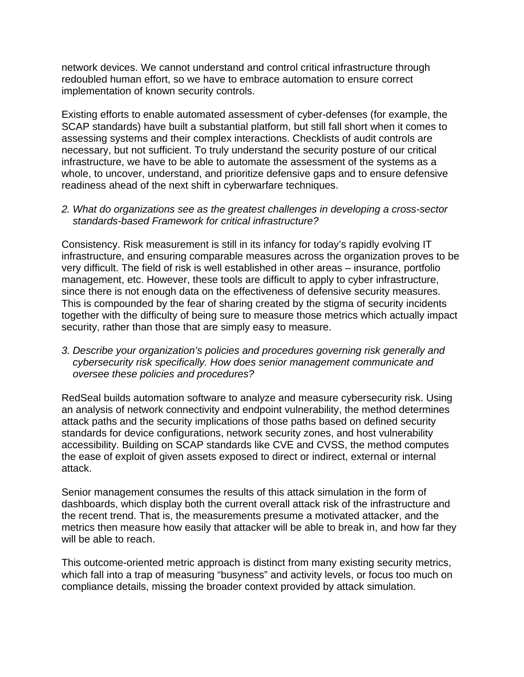network devices. We cannot understand and control critical infrastructure through redoubled human effort, so we have to embrace automation to ensure correct implementation of known security controls.

Existing efforts to enable automated assessment of cyber-defenses (for example, the SCAP standards) have built a substantial platform, but still fall short when it comes to assessing systems and their complex interactions. Checklists of audit controls are necessary, but not sufficient. To truly understand the security posture of our critical infrastructure, we have to be able to automate the assessment of the systems as a whole, to uncover, understand, and prioritize defensive gaps and to ensure defensive readiness ahead of the next shift in cyberwarfare techniques.

*2. What do organizations see as the greatest challenges in developing a cross-sector standards-based Framework for critical infrastructure?*

Consistency. Risk measurement is still in its infancy for today's rapidly evolving IT infrastructure, and ensuring comparable measures across the organization proves to be very difficult. The field of risk is well established in other areas – insurance, portfolio management, etc. However, these tools are difficult to apply to cyber infrastructure, since there is not enough data on the effectiveness of defensive security measures. This is compounded by the fear of sharing created by the stigma of security incidents together with the difficulty of being sure to measure those metrics which actually impact security, rather than those that are simply easy to measure.

*3. Describe your organization's policies and procedures governing risk generally and cybersecurity risk specifically. How does senior management communicate and oversee these policies and procedures?*

RedSeal builds automation software to analyze and measure cybersecurity risk. Using an analysis of network connectivity and endpoint vulnerability, the method determines attack paths and the security implications of those paths based on defined security standards for device configurations, network security zones, and host vulnerability accessibility. Building on SCAP standards like CVE and CVSS, the method computes the ease of exploit of given assets exposed to direct or indirect, external or internal attack.

Senior management consumes the results of this attack simulation in the form of dashboards, which display both the current overall attack risk of the infrastructure and the recent trend. That is, the measurements presume a motivated attacker, and the metrics then measure how easily that attacker will be able to break in, and how far they will be able to reach.

This outcome-oriented metric approach is distinct from many existing security metrics, which fall into a trap of measuring "busyness" and activity levels, or focus too much on compliance details, missing the broader context provided by attack simulation.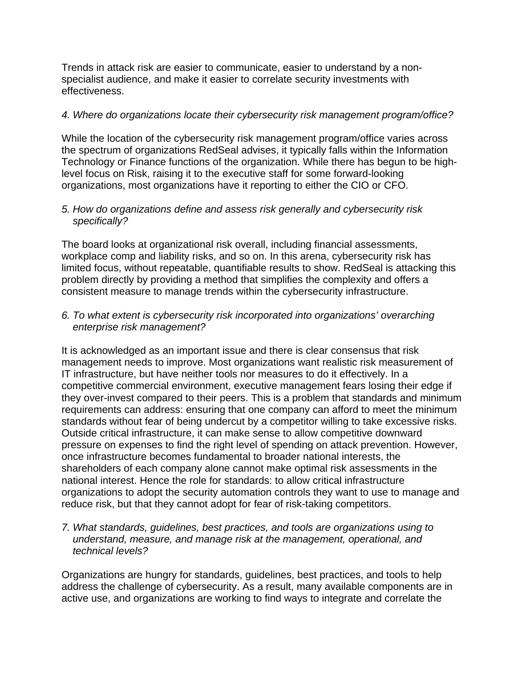Trends in attack risk are easier to communicate, easier to understand by a nonspecialist audience, and make it easier to correlate security investments with effectiveness.

# *4. Where do organizations locate their cybersecurity risk management program/office?*

While the location of the cybersecurity risk management program/office varies across the spectrum of organizations RedSeal advises, it typically falls within the Information Technology or Finance functions of the organization. While there has begun to be highlevel focus on Risk, raising it to the executive staff for some forward-looking organizations, most organizations have it reporting to either the CIO or CFO.

# *5. How do organizations define and assess risk generally and cybersecurity risk specifically?*

The board looks at organizational risk overall, including financial assessments, workplace comp and liability risks, and so on. In this arena, cybersecurity risk has limited focus, without repeatable, quantifiable results to show. RedSeal is attacking this problem directly by providing a method that simplifies the complexity and offers a consistent measure to manage trends within the cybersecurity infrastructure.

# *6. To what extent is cybersecurity risk incorporated into organizations' overarching enterprise risk management?*

It is acknowledged as an important issue and there is clear consensus that risk management needs to improve. Most organizations want realistic risk measurement of IT infrastructure, but have neither tools nor measures to do it effectively. In a competitive commercial environment, executive management fears losing their edge if they over-invest compared to their peers. This is a problem that standards and minimum requirements can address: ensuring that one company can afford to meet the minimum standards without fear of being undercut by a competitor willing to take excessive risks. Outside critical infrastructure, it can make sense to allow competitive downward pressure on expenses to find the right level of spending on attack prevention. However, once infrastructure becomes fundamental to broader national interests, the shareholders of each company alone cannot make optimal risk assessments in the national interest. Hence the role for standards: to allow critical infrastructure organizations to adopt the security automation controls they want to use to manage and reduce risk, but that they cannot adopt for fear of risk-taking competitors.

# *7. What standards, guidelines, best practices, and tools are organizations using to understand, measure, and manage risk at the management, operational, and technical levels?*

Organizations are hungry for standards, guidelines, best practices, and tools to help address the challenge of cybersecurity. As a result, many available components are in active use, and organizations are working to find ways to integrate and correlate the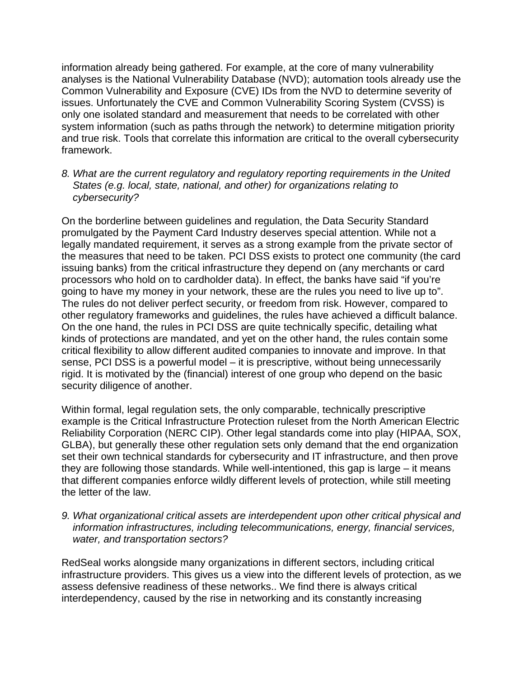information already being gathered. For example, at the core of many vulnerability analyses is the National Vulnerability Database (NVD); automation tools already use the Common Vulnerability and Exposure (CVE) IDs from the NVD to determine severity of issues. Unfortunately the CVE and Common Vulnerability Scoring System (CVSS) is only one isolated standard and measurement that needs to be correlated with other system information (such as paths through the network) to determine mitigation priority and true risk. Tools that correlate this information are critical to the overall cybersecurity framework.

*8. What are the current regulatory and regulatory reporting requirements in the United States (e.g. local, state, national, and other) for organizations relating to cybersecurity?*

On the borderline between guidelines and regulation, the Data Security Standard promulgated by the Payment Card Industry deserves special attention. While not a legally mandated requirement, it serves as a strong example from the private sector of the measures that need to be taken. PCI DSS exists to protect one community (the card issuing banks) from the critical infrastructure they depend on (any merchants or card processors who hold on to cardholder data). In effect, the banks have said "if you're going to have my money in your network, these are the rules you need to live up to". The rules do not deliver perfect security, or freedom from risk. However, compared to other regulatory frameworks and guidelines, the rules have achieved a difficult balance. On the one hand, the rules in PCI DSS are quite technically specific, detailing what kinds of protections are mandated, and yet on the other hand, the rules contain some critical flexibility to allow different audited companies to innovate and improve. In that sense, PCI DSS is a powerful model – it is prescriptive, without being unnecessarily rigid. It is motivated by the (financial) interest of one group who depend on the basic security diligence of another.

Within formal, legal regulation sets, the only comparable, technically prescriptive example is the Critical Infrastructure Protection ruleset from the North American Electric Reliability Corporation (NERC CIP). Other legal standards come into play (HIPAA, SOX, GLBA), but generally these other regulation sets only demand that the end organization set their own technical standards for cybersecurity and IT infrastructure, and then prove they are following those standards. While well-intentioned, this gap is large – it means that different companies enforce wildly different levels of protection, while still meeting the letter of the law.

*9. What organizational critical assets are interdependent upon other critical physical and information infrastructures, including telecommunications, energy, financial services, water, and transportation sectors?*

RedSeal works alongside many organizations in different sectors, including critical infrastructure providers. This gives us a view into the different levels of protection, as we assess defensive readiness of these networks.. We find there is always critical interdependency, caused by the rise in networking and its constantly increasing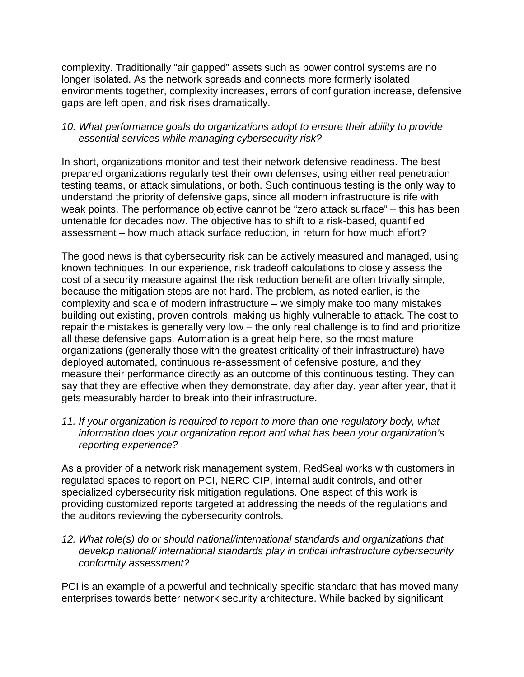complexity. Traditionally "air gapped" assets such as power control systems are no longer isolated. As the network spreads and connects more formerly isolated environments together, complexity increases, errors of configuration increase, defensive gaps are left open, and risk rises dramatically.

# *10. What performance goals do organizations adopt to ensure their ability to provide essential services while managing cybersecurity risk?*

In short, organizations monitor and test their network defensive readiness. The best prepared organizations regularly test their own defenses, using either real penetration testing teams, or attack simulations, or both. Such continuous testing is the only way to understand the priority of defensive gaps, since all modern infrastructure is rife with weak points. The performance objective cannot be "zero attack surface" – this has been untenable for decades now. The objective has to shift to a risk-based, quantified assessment – how much attack surface reduction, in return for how much effort?

The good news is that cybersecurity risk can be actively measured and managed, using known techniques. In our experience, risk tradeoff calculations to closely assess the cost of a security measure against the risk reduction benefit are often trivially simple, because the mitigation steps are not hard. The problem, as noted earlier, is the complexity and scale of modern infrastructure – we simply make too many mistakes building out existing, proven controls, making us highly vulnerable to attack. The cost to repair the mistakes is generally very low – the only real challenge is to find and prioritize all these defensive gaps. Automation is a great help here, so the most mature organizations (generally those with the greatest criticality of their infrastructure) have deployed automated, continuous re-assessment of defensive posture, and they measure their performance directly as an outcome of this continuous testing. They can say that they are effective when they demonstrate, day after day, year after year, that it gets measurably harder to break into their infrastructure.

# *11. If your organization is required to report to more than one regulatory body, what information does your organization report and what has been your organization's reporting experience?*

As a provider of a network risk management system, RedSeal works with customers in regulated spaces to report on PCI, NERC CIP, internal audit controls, and other specialized cybersecurity risk mitigation regulations. One aspect of this work is providing customized reports targeted at addressing the needs of the regulations and the auditors reviewing the cybersecurity controls.

*12. What role(s) do or should national/international standards and organizations that develop national/ international standards play in critical infrastructure cybersecurity conformity assessment?*

PCI is an example of a powerful and technically specific standard that has moved many enterprises towards better network security architecture. While backed by significant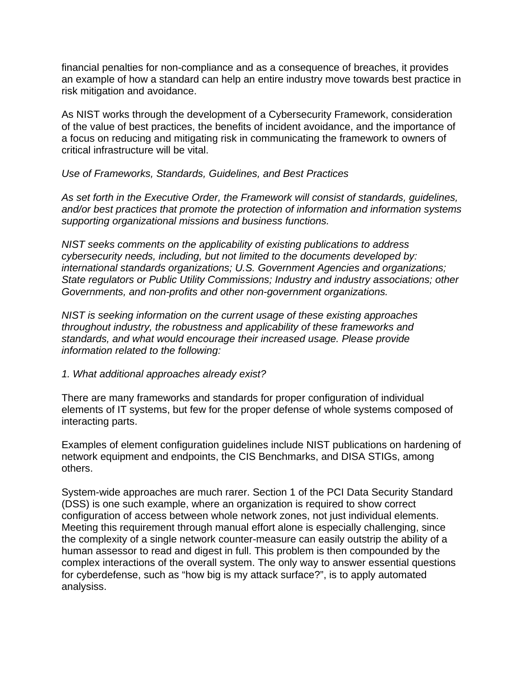financial penalties for non-compliance and as a consequence of breaches, it provides an example of how a standard can help an entire industry move towards best practice in risk mitigation and avoidance.

As NIST works through the development of a Cybersecurity Framework, consideration of the value of best practices, the benefits of incident avoidance, and the importance of a focus on reducing and mitigating risk in communicating the framework to owners of critical infrastructure will be vital.

#### *Use of Frameworks, Standards, Guidelines, and Best Practices*

*As set forth in the Executive Order, the Framework will consist of standards, guidelines, and/or best practices that promote the protection of information and information systems supporting organizational missions and business functions.*

*NIST seeks comments on the applicability of existing publications to address cybersecurity needs, including, but not limited to the documents developed by: international standards organizations; U.S. Government Agencies and organizations; State regulators or Public Utility Commissions; Industry and industry associations; other Governments, and non-profits and other non-government organizations.*

*NIST is seeking information on the current usage of these existing approaches throughout industry, the robustness and applicability of these frameworks and standards, and what would encourage their increased usage. Please provide information related to the following:*

#### *1. What additional approaches already exist?*

There are many frameworks and standards for proper configuration of individual elements of IT systems, but few for the proper defense of whole systems composed of interacting parts.

Examples of element configuration guidelines include NIST publications on hardening of network equipment and endpoints, the CIS Benchmarks, and DISA STIGs, among others.

System-wide approaches are much rarer. Section 1 of the PCI Data Security Standard (DSS) is one such example, where an organization is required to show correct configuration of access between whole network zones, not just individual elements. Meeting this requirement through manual effort alone is especially challenging, since the complexity of a single network counter-measure can easily outstrip the ability of a human assessor to read and digest in full. This problem is then compounded by the complex interactions of the overall system. The only way to answer essential questions for cyberdefense, such as "how big is my attack surface?", is to apply automated analysiss.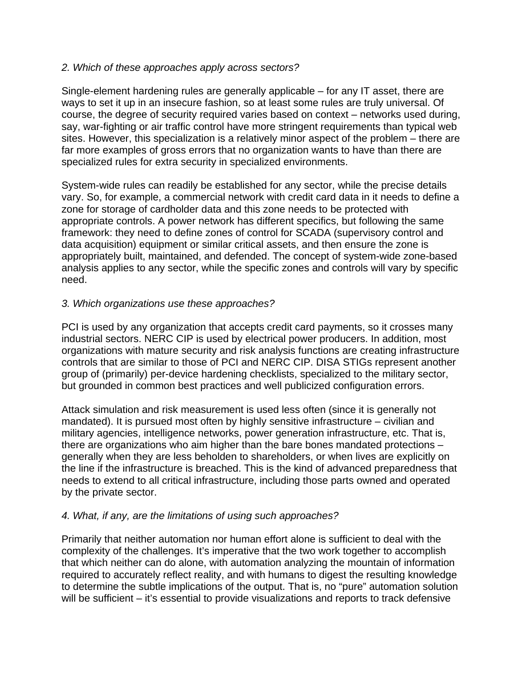# *2. Which of these approaches apply across sectors?*

Single-element hardening rules are generally applicable – for any IT asset, there are ways to set it up in an insecure fashion, so at least some rules are truly universal. Of course, the degree of security required varies based on context – networks used during, say, war-fighting or air traffic control have more stringent requirements than typical web sites. However, this specialization is a relatively minor aspect of the problem – there are far more examples of gross errors that no organization wants to have than there are specialized rules for extra security in specialized environments.

System-wide rules can readily be established for any sector, while the precise details vary. So, for example, a commercial network with credit card data in it needs to define a zone for storage of cardholder data and this zone needs to be protected with appropriate controls. A power network has different specifics, but following the same framework: they need to define zones of control for SCADA (supervisory control and data acquisition) equipment or similar critical assets, and then ensure the zone is appropriately built, maintained, and defended. The concept of system-wide zone-based analysis applies to any sector, while the specific zones and controls will vary by specific need.

# *3. Which organizations use these approaches?*

PCI is used by any organization that accepts credit card payments, so it crosses many industrial sectors. NERC CIP is used by electrical power producers. In addition, most organizations with mature security and risk analysis functions are creating infrastructure controls that are similar to those of PCI and NERC CIP. DISA STIGs represent another group of (primarily) per-device hardening checklists, specialized to the military sector, but grounded in common best practices and well publicized configuration errors.

Attack simulation and risk measurement is used less often (since it is generally not mandated). It is pursued most often by highly sensitive infrastructure – civilian and military agencies, intelligence networks, power generation infrastructure, etc. That is, there are organizations who aim higher than the bare bones mandated protections – generally when they are less beholden to shareholders, or when lives are explicitly on the line if the infrastructure is breached. This is the kind of advanced preparedness that needs to extend to all critical infrastructure, including those parts owned and operated by the private sector.

# *4. What, if any, are the limitations of using such approaches?*

Primarily that neither automation nor human effort alone is sufficient to deal with the complexity of the challenges. It's imperative that the two work together to accomplish that which neither can do alone, with automation analyzing the mountain of information required to accurately reflect reality, and with humans to digest the resulting knowledge to determine the subtle implications of the output. That is, no "pure" automation solution will be sufficient – it's essential to provide visualizations and reports to track defensive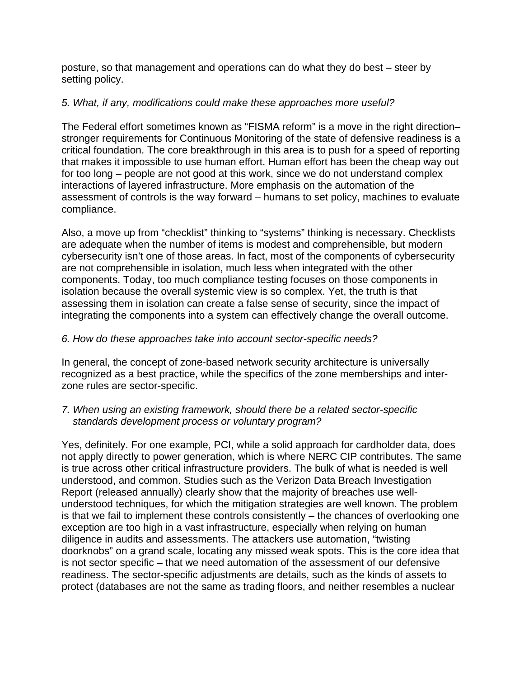posture, so that management and operations can do what they do best – steer by setting policy.

# *5. What, if any, modifications could make these approaches more useful?*

The Federal effort sometimes known as "FISMA reform" is a move in the right direction– stronger requirements for Continuous Monitoring of the state of defensive readiness is a critical foundation. The core breakthrough in this area is to push for a speed of reporting that makes it impossible to use human effort. Human effort has been the cheap way out for too long – people are not good at this work, since we do not understand complex interactions of layered infrastructure. More emphasis on the automation of the assessment of controls is the way forward – humans to set policy, machines to evaluate compliance.

Also, a move up from "checklist" thinking to "systems" thinking is necessary. Checklists are adequate when the number of items is modest and comprehensible, but modern cybersecurity isn't one of those areas. In fact, most of the components of cybersecurity are not comprehensible in isolation, much less when integrated with the other components. Today, too much compliance testing focuses on those components in isolation because the overall systemic view is so complex. Yet, the truth is that assessing them in isolation can create a false sense of security, since the impact of integrating the components into a system can effectively change the overall outcome.

# *6. How do these approaches take into account sector-specific needs?*

In general, the concept of zone-based network security architecture is universally recognized as a best practice, while the specifics of the zone memberships and interzone rules are sector-specific.

# *7. When using an existing framework, should there be a related sector-specific standards development process or voluntary program?*

Yes, definitely. For one example, PCI, while a solid approach for cardholder data, does not apply directly to power generation, which is where NERC CIP contributes. The same is true across other critical infrastructure providers. The bulk of what is needed is well understood, and common. Studies such as the Verizon Data Breach Investigation Report (released annually) clearly show that the majority of breaches use wellunderstood techniques, for which the mitigation strategies are well known. The problem is that we fail to implement these controls consistently – the chances of overlooking one exception are too high in a vast infrastructure, especially when relying on human diligence in audits and assessments. The attackers use automation, "twisting doorknobs" on a grand scale, locating any missed weak spots. This is the core idea that is not sector specific – that we need automation of the assessment of our defensive readiness. The sector-specific adjustments are details, such as the kinds of assets to protect (databases are not the same as trading floors, and neither resembles a nuclear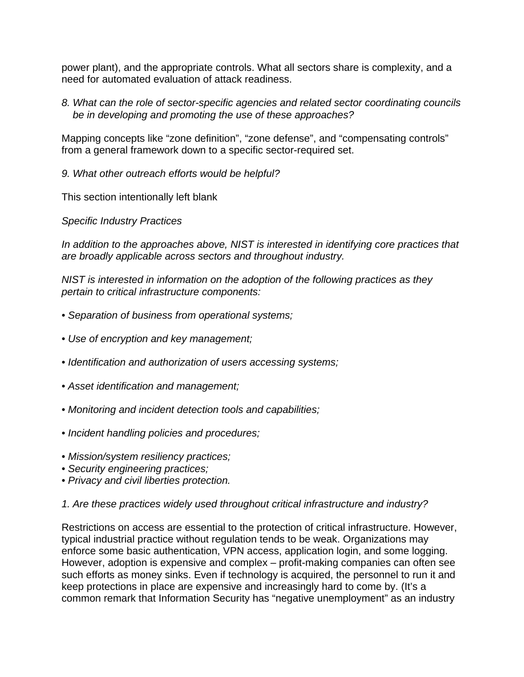power plant), and the appropriate controls. What all sectors share is complexity, and a need for automated evaluation of attack readiness.

*8. What can the role of sector-specific agencies and related sector coordinating councils be in developing and promoting the use of these approaches?*

Mapping concepts like "zone definition", "zone defense", and "compensating controls" from a general framework down to a specific sector-required set.

*9. What other outreach efforts would be helpful?*

This section intentionally left blank

*Specific Industry Practices*

*In addition to the approaches above, NIST is interested in identifying core practices that are broadly applicable across sectors and throughout industry.*

*NIST is interested in information on the adoption of the following practices as they pertain to critical infrastructure components:*

- *Separation of business from operational systems;*
- *Use of encryption and key management;*
- *Identification and authorization of users accessing systems;*
- *Asset identification and management;*
- *Monitoring and incident detection tools and capabilities;*
- *Incident handling policies and procedures;*
- *Mission/system resiliency practices;*
- *Security engineering practices;*
- *Privacy and civil liberties protection.*
- *1. Are these practices widely used throughout critical infrastructure and industry?*

Restrictions on access are essential to the protection of critical infrastructure. However, typical industrial practice without regulation tends to be weak. Organizations may enforce some basic authentication, VPN access, application login, and some logging. However, adoption is expensive and complex – profit-making companies can often see such efforts as money sinks. Even if technology is acquired, the personnel to run it and keep protections in place are expensive and increasingly hard to come by. (It's a common remark that Information Security has "negative unemployment" as an industry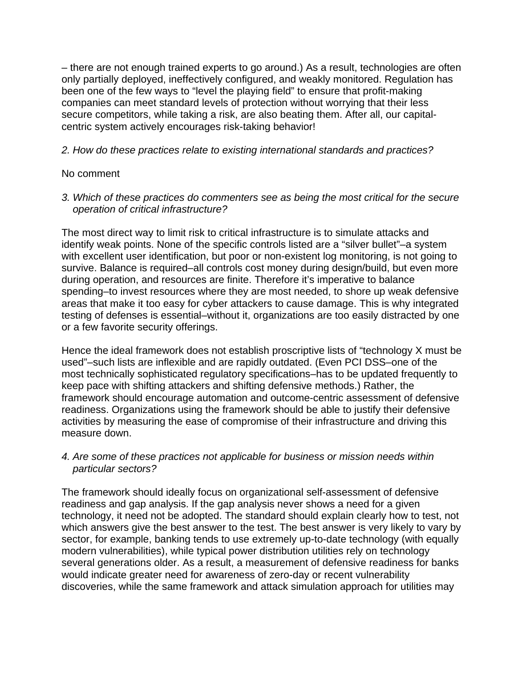– there are not enough trained experts to go around.) As a result, technologies are often only partially deployed, ineffectively configured, and weakly monitored. Regulation has been one of the few ways to "level the playing field" to ensure that profit-making companies can meet standard levels of protection without worrying that their less secure competitors, while taking a risk, are also beating them. After all, our capitalcentric system actively encourages risk-taking behavior!

# *2. How do these practices relate to existing international standards and practices?*

# No comment

*3. Which of these practices do commenters see as being the most critical for the secure operation of critical infrastructure?*

The most direct way to limit risk to critical infrastructure is to simulate attacks and identify weak points. None of the specific controls listed are a "silver bullet"–a system with excellent user identification, but poor or non-existent log monitoring, is not going to survive. Balance is required–all controls cost money during design/build, but even more during operation, and resources are finite. Therefore it's imperative to balance spending–to invest resources where they are most needed, to shore up weak defensive areas that make it too easy for cyber attackers to cause damage. This is why integrated testing of defenses is essential–without it, organizations are too easily distracted by one or a few favorite security offerings.

Hence the ideal framework does not establish proscriptive lists of "technology X must be used"–such lists are inflexible and are rapidly outdated. (Even PCI DSS–one of the most technically sophisticated regulatory specifications–has to be updated frequently to keep pace with shifting attackers and shifting defensive methods.) Rather, the framework should encourage automation and outcome-centric assessment of defensive readiness. Organizations using the framework should be able to justify their defensive activities by measuring the ease of compromise of their infrastructure and driving this measure down.

# *4. Are some of these practices not applicable for business or mission needs within particular sectors?*

The framework should ideally focus on organizational self-assessment of defensive readiness and gap analysis. If the gap analysis never shows a need for a given technology, it need not be adopted. The standard should explain clearly how to test, not which answers give the best answer to the test. The best answer is very likely to vary by sector, for example, banking tends to use extremely up-to-date technology (with equally modern vulnerabilities), while typical power distribution utilities rely on technology several generations older. As a result, a measurement of defensive readiness for banks would indicate greater need for awareness of zero-day or recent vulnerability discoveries, while the same framework and attack simulation approach for utilities may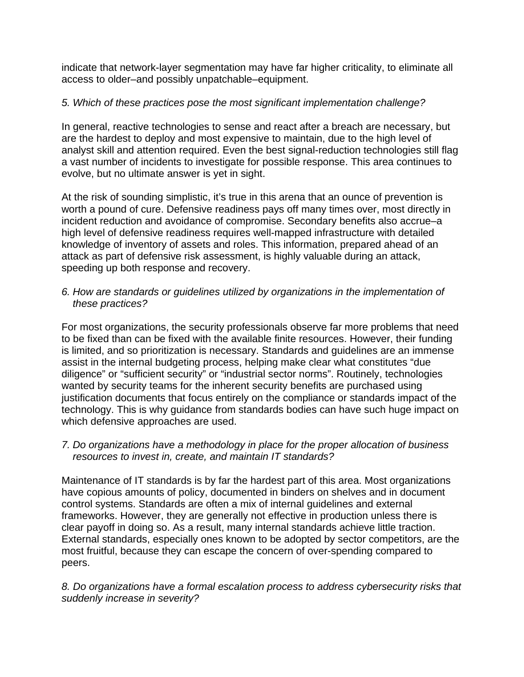indicate that network-layer segmentation may have far higher criticality, to eliminate all access to older–and possibly unpatchable–equipment.

# *5. Which of these practices pose the most significant implementation challenge?*

In general, reactive technologies to sense and react after a breach are necessary, but are the hardest to deploy and most expensive to maintain, due to the high level of analyst skill and attention required. Even the best signal-reduction technologies still flag a vast number of incidents to investigate for possible response. This area continues to evolve, but no ultimate answer is yet in sight.

At the risk of sounding simplistic, it's true in this arena that an ounce of prevention is worth a pound of cure. Defensive readiness pays off many times over, most directly in incident reduction and avoidance of compromise. Secondary benefits also accrue–a high level of defensive readiness requires well-mapped infrastructure with detailed knowledge of inventory of assets and roles. This information, prepared ahead of an attack as part of defensive risk assessment, is highly valuable during an attack, speeding up both response and recovery.

# *6. How are standards or guidelines utilized by organizations in the implementation of these practices?*

For most organizations, the security professionals observe far more problems that need to be fixed than can be fixed with the available finite resources. However, their funding is limited, and so prioritization is necessary. Standards and guidelines are an immense assist in the internal budgeting process, helping make clear what constitutes "due diligence" or "sufficient security" or "industrial sector norms". Routinely, technologies wanted by security teams for the inherent security benefits are purchased using justification documents that focus entirely on the compliance or standards impact of the technology. This is why guidance from standards bodies can have such huge impact on which defensive approaches are used.

# *7. Do organizations have a methodology in place for the proper allocation of business resources to invest in, create, and maintain IT standards?*

Maintenance of IT standards is by far the hardest part of this area. Most organizations have copious amounts of policy, documented in binders on shelves and in document control systems. Standards are often a mix of internal guidelines and external frameworks. However, they are generally not effective in production unless there is clear payoff in doing so. As a result, many internal standards achieve little traction. External standards, especially ones known to be adopted by sector competitors, are the most fruitful, because they can escape the concern of over-spending compared to peers.

# *8. Do organizations have a formal escalation process to address cybersecurity risks that suddenly increase in severity?*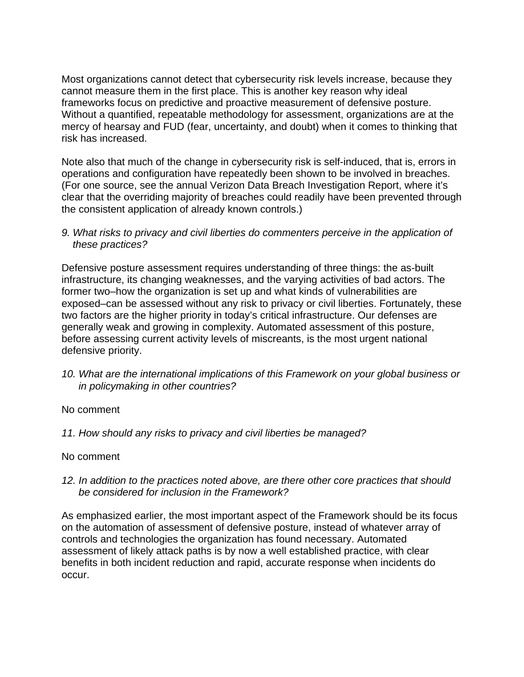Most organizations cannot detect that cybersecurity risk levels increase, because they cannot measure them in the first place. This is another key reason why ideal frameworks focus on predictive and proactive measurement of defensive posture. Without a quantified, repeatable methodology for assessment, organizations are at the mercy of hearsay and FUD (fear, uncertainty, and doubt) when it comes to thinking that risk has increased.

Note also that much of the change in cybersecurity risk is self-induced, that is, errors in operations and configuration have repeatedly been shown to be involved in breaches. (For one source, see the annual Verizon Data Breach Investigation Report, where it's clear that the overriding majority of breaches could readily have been prevented through the consistent application of already known controls.)

#### *9. What risks to privacy and civil liberties do commenters perceive in the application of these practices?*

Defensive posture assessment requires understanding of three things: the as-built infrastructure, its changing weaknesses, and the varying activities of bad actors. The former two–how the organization is set up and what kinds of vulnerabilities are exposed–can be assessed without any risk to privacy or civil liberties. Fortunately, these two factors are the higher priority in today's critical infrastructure. Our defenses are generally weak and growing in complexity. Automated assessment of this posture, before assessing current activity levels of miscreants, is the most urgent national defensive priority.

*10. What are the international implications of this Framework on your global business or in policymaking in other countries?*

# No comment

*11. How should any risks to privacy and civil liberties be managed?*

# No comment

*12. In addition to the practices noted above, are there other core practices that should be considered for inclusion in the Framework?*

As emphasized earlier, the most important aspect of the Framework should be its focus on the automation of assessment of defensive posture, instead of whatever array of controls and technologies the organization has found necessary. Automated assessment of likely attack paths is by now a well established practice, with clear benefits in both incident reduction and rapid, accurate response when incidents do occur.